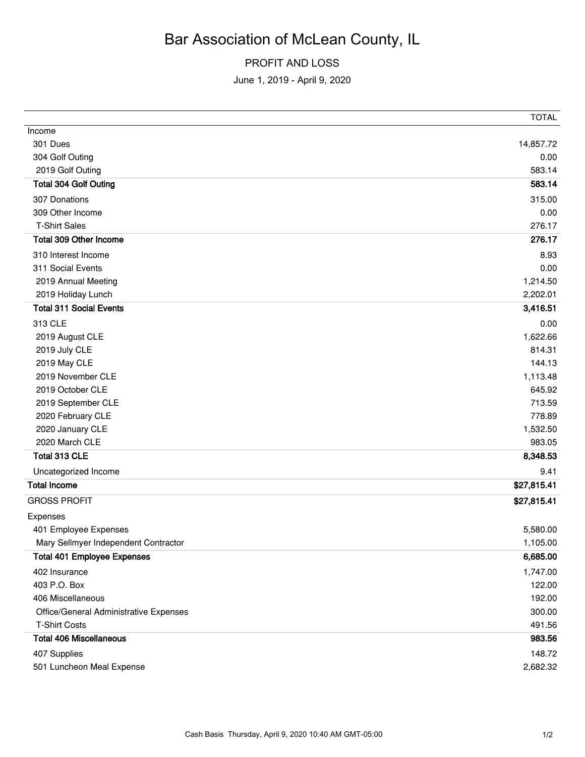## Bar Association of McLean County, IL

## PROFIT AND LOSS

June 1, 2019 - April 9, 2020

|                                        | TOTAL       |
|----------------------------------------|-------------|
| Income                                 |             |
| 301 Dues                               | 14,857.72   |
| 304 Golf Outing                        | 0.00        |
| 2019 Golf Outing                       | 583.14      |
| <b>Total 304 Golf Outing</b>           | 583.14      |
| 307 Donations                          | 315.00      |
| 309 Other Income                       | 0.00        |
| <b>T-Shirt Sales</b>                   | 276.17      |
| Total 309 Other Income                 | 276.17      |
| 310 Interest Income                    | 8.93        |
| 311 Social Events                      | 0.00        |
| 2019 Annual Meeting                    | 1,214.50    |
| 2019 Holiday Lunch                     | 2,202.01    |
| <b>Total 311 Social Events</b>         | 3,416.51    |
| 313 CLE                                | 0.00        |
| 2019 August CLE                        | 1,622.66    |
| 2019 July CLE                          | 814.31      |
| 2019 May CLE                           | 144.13      |
| 2019 November CLE                      | 1,113.48    |
| 2019 October CLE                       | 645.92      |
| 2019 September CLE                     | 713.59      |
| 2020 February CLE                      | 778.89      |
| 2020 January CLE                       | 1,532.50    |
| 2020 March CLE                         | 983.05      |
| Total 313 CLE                          | 8,348.53    |
| Uncategorized Income                   | 9.41        |
| <b>Total Income</b>                    | \$27,815.41 |
| <b>GROSS PROFIT</b>                    | \$27,815.41 |
| Expenses                               |             |
| 401 Employee Expenses                  | 5,580.00    |
| Mary Sellmyer Independent Contractor   | 1,105.00    |
| <b>Total 401 Employee Expenses</b>     | 6,685.00    |
| 402 Insurance                          | 1,747.00    |
| 403 P.O. Box                           | 122.00      |
| 406 Miscellaneous                      | 192.00      |
| Office/General Administrative Expenses | 300.00      |
| <b>T-Shirt Costs</b>                   | 491.56      |
| <b>Total 406 Miscellaneous</b>         | 983.56      |
| 407 Supplies                           | 148.72      |
| 501 Luncheon Meal Expense              | 2,682.32    |
|                                        |             |